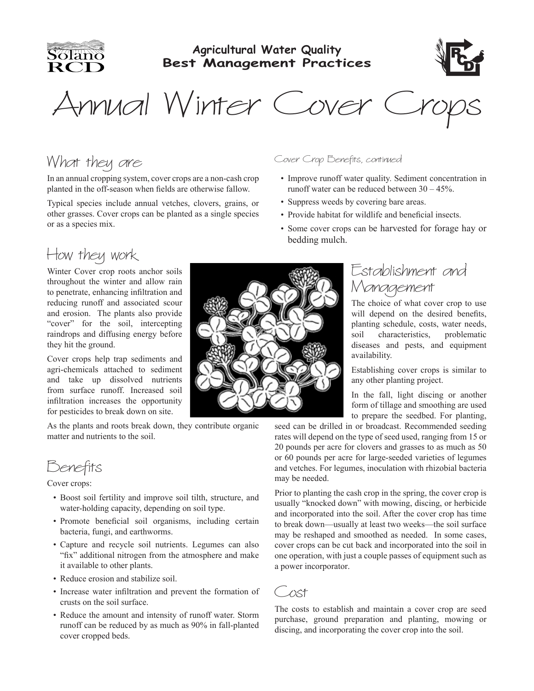

#### **Agricultural Water Quality Best Management Practices**



Annual Winter Cover Crops

In an annual cropping system, cover crops are a non-cash crop planted in the off-season when fields are otherwise fallow. Typical species include annual vetches, clovers, grains, or other grasses. Cover crops can be planted as a single species

Cover Crop Benefits, continued

- Improve runoff water quality. Sediment concentration in runoff water can be reduced between 30 – 45%.
- Suppress weeds by covering bare areas.
- Provide habitat for wildlife and beneficial insects.
- Some cover crops can be harvested for forage hay or bedding mulch.

## How they work

or as a species mix.

What they are

Winter Cover crop roots anchor soils throughout the winter and allow rain to penetrate, enhancing infiltration and reducing runoff and associated scour and erosion. The plants also provide "cover" for the soil, intercepting raindrops and diffusing energy before they hit the ground.

Cover crops help trap sediments and agri-chemicals attached to sediment and take up dissolved nutrients from surface runoff. Increased soil infiltration increases the opportunity for pesticides to break down on site.

As the plants and roots break down, they contribute organic matter and nutrients to the soil.

Benefits

Cover crops:

- Boost soil fertility and improve soil tilth, structure, and water-holding capacity, depending on soil type.
- Promote beneficial soil organisms, including certain bacteria, fungi, and earthworms.
- Capture and recycle soil nutrients. Legumes can also "fix" additional nitrogen from the atmosphere and make it available to other plants.
- Reduce erosion and stabilize soil.
- Increase water infiltration and prevent the formation of crusts on the soil surface.
- Reduce the amount and intensity of runoff water. Storm runoff can be reduced by as much as 90% in fall-planted cover cropped beds.



#### Establishment and Management

The choice of what cover crop to use will depend on the desired benefits, planting schedule, costs, water needs, soil characteristics, problematic diseases and pests, and equipment availability.

Establishing cover crops is similar to any other planting project.

In the fall, light discing or another form of tillage and smoothing are used to prepare the seedbed. For planting,

seed can be drilled in or broadcast. Recommended seeding rates will depend on the type of seed used, ranging from 15 or 20 pounds per acre for clovers and grasses to as much as 50 or 60 pounds per acre for large-seeded varieties of legumes and vetches. For legumes, inoculation with rhizobial bacteria may be needed.

Prior to planting the cash crop in the spring, the cover crop is usually "knocked down" with mowing, discing, or herbicide and incorporated into the soil. After the cover crop has time to break down—usually at least two weeks—the soil surface may be reshaped and smoothed as needed. In some cases, cover crops can be cut back and incorporated into the soil in one operation, with just a couple passes of equipment such as a power incorporator.



The costs to establish and maintain a cover crop are seed purchase, ground preparation and planting, mowing or discing, and incorporating the cover crop into the soil.